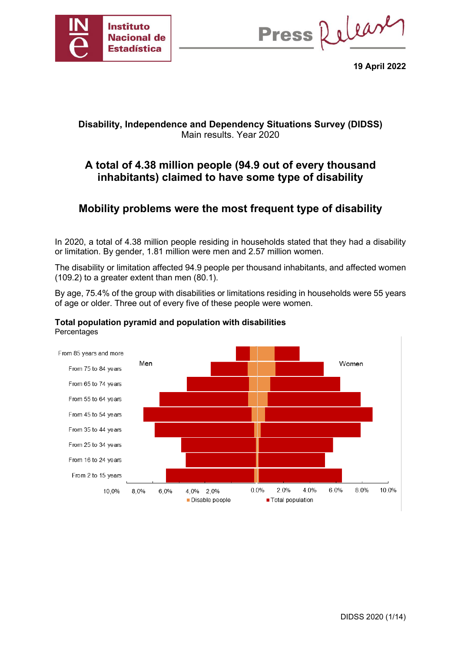

Press Release

**19 April 2022**

## **Disability, Independence and Dependency Situations Survey (DIDSS)** Main results. Year 2020

# **A total of 4.38 million people (94.9 out of every thousand inhabitants) claimed to have some type of disability**

# **Mobility problems were the most frequent type of disability**

In 2020, a total of 4.38 million people residing in households stated that they had a disability or limitation. By gender, 1.81 million were men and 2.57 million women.

The disability or limitation affected 94.9 people per thousand inhabitants, and affected women (109.2) to a greater extent than men (80.1).

By age, 75.4% of the group with disabilities or limitations residing in households were 55 years of age or older. Three out of every five of these people were women.



## **Total population pyramid and population with disabilities Percentages**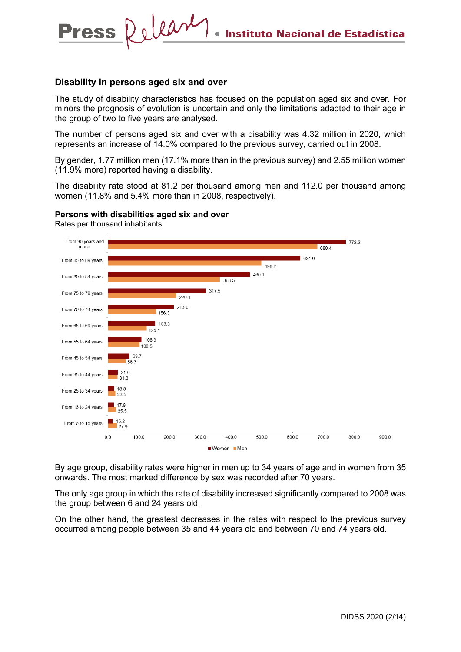#### **Disability in persons aged six and over**

Press Relear

The study of disability characteristics has focused on the population aged six and over. For minors the prognosis of evolution is uncertain and only the limitations adapted to their age in the group of two to five years are analysed.

The number of persons aged six and over with a disability was 4.32 million in 2020, which represents an increase of 14.0% compared to the previous survey, carried out in 2008.

By gender, 1.77 million men (17.1% more than in the previous survey) and 2.55 million women (11.9% more) reported having a disability.

The disability rate stood at 81.2 per thousand among men and 112.0 per thousand among women (11.8% and 5.4% more than in 2008, respectively).



**Persons with disabilities aged six and over** 

By age group, disability rates were higher in men up to 34 years of age and in women from 35 onwards. The most marked difference by sex was recorded after 70 years.

The only age group in which the rate of disability increased significantly compared to 2008 was the group between 6 and 24 years old.

On the other hand, the greatest decreases in the rates with respect to the previous survey occurred among people between 35 and 44 years old and between 70 and 74 years old.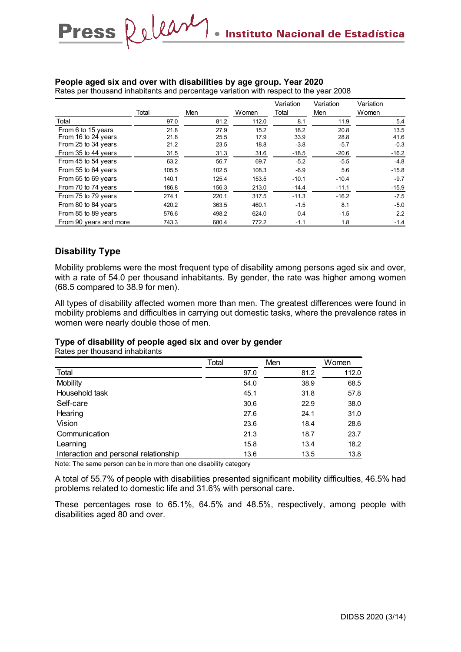#### **People aged six and over with disabilities by age group. Year 2020**

Press Release

Rates per thousand inhabitants and percentage variation with respect to the year 2008

|                        |       |       |       | Variation | Variation | Variation |
|------------------------|-------|-------|-------|-----------|-----------|-----------|
|                        | Total | Men   | Women | Total     | Men       | Women     |
| Total                  | 97.0  | 81.2  | 112.0 | 8.1       | 11.9      | 5.4       |
| From 6 to 15 years     | 21.8  | 27.9  | 15.2  | 18.2      | 20.8      | 13.5      |
| From 16 to 24 years    | 21.8  | 25.5  | 17.9  | 33.9      | 28.8      | 41.6      |
| From 25 to 34 years    | 21.2  | 23.5  | 18.8  | $-3.8$    | $-5.7$    | $-0.3$    |
| From 35 to 44 years    | 31.5  | 31.3  | 31.6  | $-18.5$   | $-20.6$   | $-16.2$   |
| From 45 to 54 years    | 63.2  | 56.7  | 69.7  | $-5.2$    | $-5.5$    | $-4.8$    |
| From 55 to 64 years    | 105.5 | 102.5 | 108.3 | $-6.9$    | 5.6       | $-15.8$   |
| From 65 to 69 years    | 140.1 | 125.4 | 153.5 | $-10.1$   | $-10.4$   | $-9.7$    |
| From 70 to 74 years    | 186.8 | 156.3 | 213.0 | $-14.4$   | $-11.1$   | $-15.9$   |
| From 75 to 79 years    | 274.1 | 220.1 | 317.5 | $-11.3$   | $-16.2$   | $-7.5$    |
| From 80 to 84 years    | 420.2 | 363.5 | 460.1 | $-1.5$    | 8.1       | $-5.0$    |
| From 85 to 89 years    | 576.6 | 498.2 | 624.0 | 0.4       | $-1.5$    | 2.2       |
| From 90 years and more | 743.3 | 680.4 | 772.2 | $-1.1$    | 1.8       | $-1.4$    |

## **Disability Type**

Mobility problems were the most frequent type of disability among persons aged six and over, with a rate of 54.0 per thousand inhabitants. By gender, the rate was higher among women (68.5 compared to 38.9 for men).

All types of disability affected women more than men. The greatest differences were found in mobility problems and difficulties in carrying out domestic tasks, where the prevalence rates in women were nearly double those of men.

#### **Type of disability of people aged six and over by gender**

Rates per thousand inhabitants

|                                       | Total | Men  | Women |
|---------------------------------------|-------|------|-------|
| Total                                 | 97.0  | 81.2 | 112.0 |
| Mobility                              | 54.0  | 38.9 | 68.5  |
| Household task                        | 45.1  | 31.8 | 57.8  |
| Self-care                             | 30.6  | 22.9 | 38.0  |
| Hearing                               | 27.6  | 24.1 | 31.0  |
| Vision                                | 23.6  | 18.4 | 28.6  |
| Communication                         | 21.3  | 18.7 | 23.7  |
| Learning                              | 15.8  | 13.4 | 18.2  |
| Interaction and personal relationship | 13.6  | 13.5 | 13.8  |

Note: The same person can be in more than one disability category

A total of 55.7% of people with disabilities presented significant mobility difficulties, 46.5% had problems related to domestic life and 31.6% with personal care.

These percentages rose to 65.1%, 64.5% and 48.5%, respectively, among people with disabilities aged 80 and over.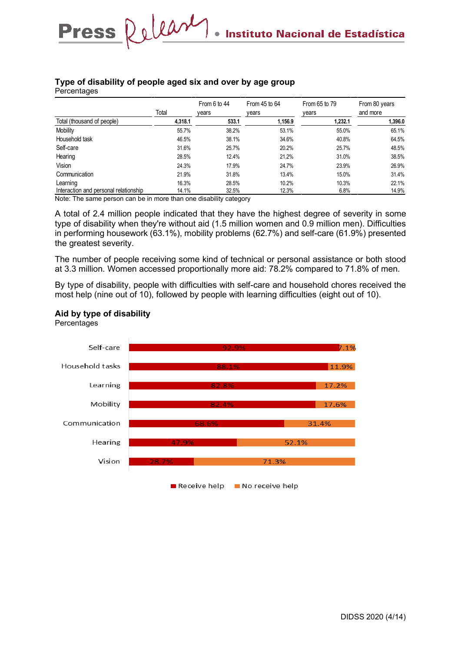# **Type of disability of people aged six and over by age group**

Press Relear

**Percentages** 

|                                       |         | From 6 to 44 | From $45$ to $64$ | From 65 to 79 | From 80 years |
|---------------------------------------|---------|--------------|-------------------|---------------|---------------|
|                                       | Total   | vears        | vears             | years         | and more      |
| Total (thousand of people)            | 4,318.1 | 533.1        | 1,156.9           | 1,232.1       | 1,396.0       |
| Mobility                              | 55.7%   | 38.2%        | 53.1%             | 55.0%         | 65.1%         |
| Household task                        | 46.5%   | 38.1%        | 34.6%             | 40.8%         | 64.5%         |
| Self-care                             | 31.6%   | 25.7%        | 20.2%             | 25.7%         | 48.5%         |
| Hearing                               | 28.5%   | 12.4%        | 21.2%             | 31.0%         | 38.5%         |
| Vision                                | 24.3%   | 17.9%        | 24.7%             | 23.9%         | 26.9%         |
| Communication                         | 21.9%   | 31.8%        | 13.4%             | 15.0%         | 31.4%         |
| Learning                              | 16.3%   | 28.5%        | 10.2%             | 10.3%         | 22.1%         |
| Interaction and personal relationship | 14.1%   | 32.5%        | 12.3%             | 6.8%          | 14.9%         |

Note: The same person can be in more than one disability category

A total of 2.4 million people indicated that they have the highest degree of severity in some type of disability when they're without aid (1.5 million women and 0.9 million men). Difficulties in performing housework (63.1%), mobility problems (62.7%) and self-care (61.9%) presented the greatest severity.

The number of people receiving some kind of technical or personal assistance or both stood at 3.3 million. Women accessed proportionally more aid: 78.2% compared to 71.8% of men.

By type of disability, people with difficulties with self-care and household chores received the most help (nine out of 10), followed by people with learning difficulties (eight out of 10).



#### **Aid by type of disability Percentages**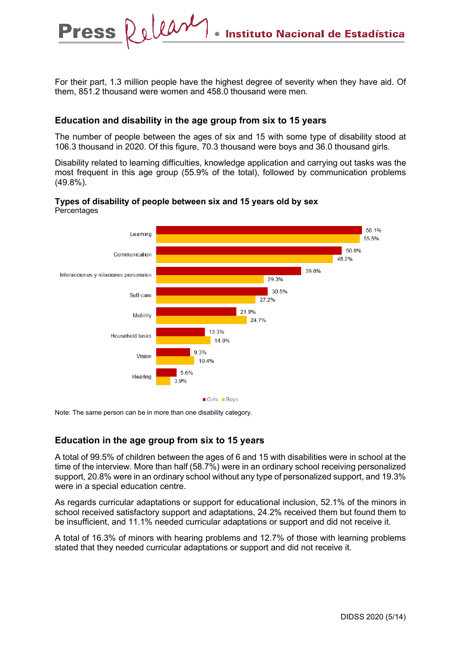For their part, 1.3 million people have the highest degree of severity when they have aid. Of them, 851.2 thousand were women and 458.0 thousand were men.

## **Education and disability in the age group from six to 15 years**

Relear

**Press** 

The number of people between the ages of six and 15 with some type of disability stood at 106.3 thousand in 2020. Of this figure, 70.3 thousand were boys and 36.0 thousand girls.

Disability related to learning difficulties, knowledge application and carrying out tasks was the most frequent in this age group (55.9% of the total), followed by communication problems (49.8%).

#### **Types of disability of people between six and 15 years old by sex Percentages**



Note: The same person can be in more than one disability category.

## **Education in the age group from six to 15 years**

A total of 99.5% of children between the ages of 6 and 15 with disabilities were in school at the time of the interview. More than half (58.7%) were in an ordinary school receiving personalized support, 20.8% were in an ordinary school without any type of personalized support, and 19.3% were in a special education centre.

As regards curricular adaptations or support for educational inclusion, 52.1% of the minors in school received satisfactory support and adaptations, 24.2% received them but found them to be insufficient, and 11.1% needed curricular adaptations or support and did not receive it.

A total of 16.3% of minors with hearing problems and 12.7% of those with learning problems stated that they needed curricular adaptations or support and did not receive it.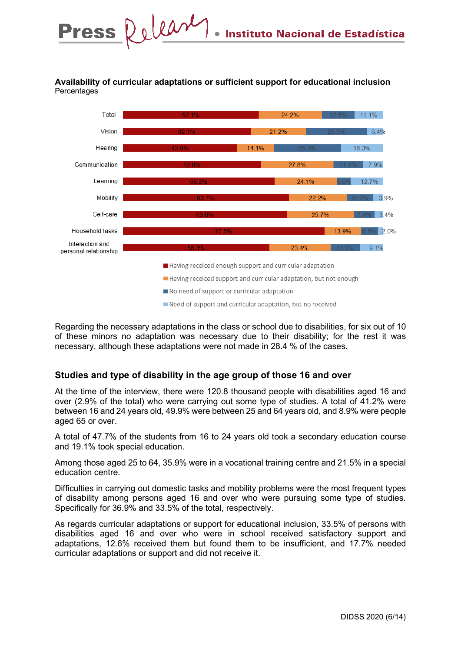## **Availability of curricular adaptations or sufficient support for educational inclusion Percentages**



Regarding the necessary adaptations in the class or school due to disabilities, for six out of 10 of these minors no adaptation was necessary due to their disability; for the rest it was necessary, although these adaptations were not made in 28.4 % of the cases.

## **Studies and type of disability in the age group of those 16 and over**

At the time of the interview, there were 120.8 thousand people with disabilities aged 16 and over (2.9% of the total) who were carrying out some type of studies. A total of 41.2% were between 16 and 24 years old, 49.9% were between 25 and 64 years old, and 8.9% were people aged 65 or over.

A total of 47.7% of the students from 16 to 24 years old took a secondary education course and 19.1% took special education.

Among those aged 25 to 64, 35.9% were in a vocational training centre and 21.5% in a special education centre.

Difficulties in carrying out domestic tasks and mobility problems were the most frequent types of disability among persons aged 16 and over who were pursuing some type of studies. Specifically for 36.9% and 33.5% of the total, respectively.

As regards curricular adaptations or support for educational inclusion, 33.5% of persons with disabilities aged 16 and over who were in school received satisfactory support and adaptations, 12.6% received them but found them to be insufficient, and 17.7% needed curricular adaptations or support and did not receive it.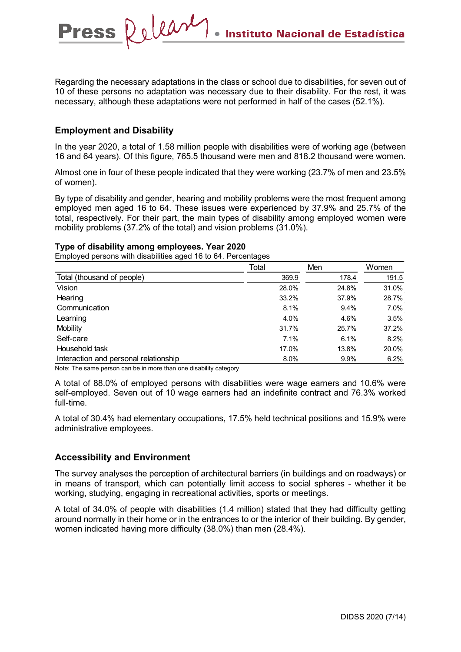Regarding the necessary adaptations in the class or school due to disabilities, for seven out of 10 of these persons no adaptation was necessary due to their disability. For the rest, it was necessary, although these adaptations were not performed in half of the cases (52.1%).

## **Employment and Disability**

Press Release

In the year 2020, a total of 1.58 million people with disabilities were of working age (between 16 and 64 years). Of this figure, 765.5 thousand were men and 818.2 thousand were women.

Almost one in four of these people indicated that they were working (23.7% of men and 23.5% of women).

By type of disability and gender, hearing and mobility problems were the most frequent among employed men aged 16 to 64. These issues were experienced by 37.9% and 25.7% of the total, respectively. For their part, the main types of disability among employed women were mobility problems (37.2% of the total) and vision problems (31.0%).

#### **Type of disability among employees. Year 2020**

Employed persons with disabilities aged 16 to 64. Percentages

|                                       | Total | Men   | Women |
|---------------------------------------|-------|-------|-------|
| Total (thousand of people)            | 369.9 | 178.4 | 191.5 |
| Vision                                | 28.0% | 24.8% | 31.0% |
| Hearing                               | 33.2% | 37.9% | 28.7% |
| Communication                         | 8.1%  | 9.4%  | 7.0%  |
| Learning                              | 4.0%  | 4.6%  | 3.5%  |
| Mobility                              | 31.7% | 25.7% | 37.2% |
| Self-care                             | 7.1%  | 6.1%  | 8.2%  |
| Household task                        | 17.0% | 13.8% | 20.0% |
| Interaction and personal relationship | 8.0%  | 9.9%  | 6.2%  |

Note: The same person can be in more than one disability category

A total of 88.0% of employed persons with disabilities were wage earners and 10.6% were self-employed. Seven out of 10 wage earners had an indefinite contract and 76.3% worked full-time.

A total of 30.4% had elementary occupations, 17.5% held technical positions and 15.9% were administrative employees.

## **Accessibility and Environment**

The survey analyses the perception of architectural barriers (in buildings and on roadways) or in means of transport, which can potentially limit access to social spheres - whether it be working, studying, engaging in recreational activities, sports or meetings.

A total of 34.0% of people with disabilities (1.4 million) stated that they had difficulty getting around normally in their home or in the entrances to or the interior of their building. By gender, women indicated having more difficulty (38.0%) than men (28.4%).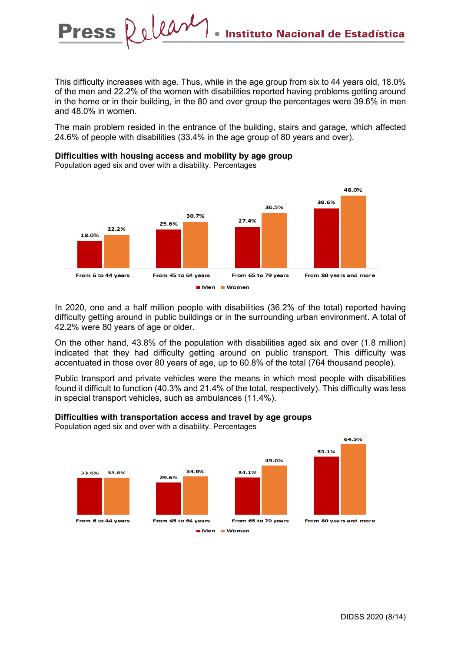This difficulty increases with age. Thus, while in the age group from six to 44 years old, 18.0% of the men and 22.2% of the women with disabilities reported having problems getting around in the home or in their building, in the 80 and over group the percentages were 39.6% in men and 48.0% in women.

The main problem resided in the entrance of the building, stairs and garage, which affected 24.6% of people with disabilities (33.4% in the age group of 80 years and over).

#### **Difficulties with housing access and mobility by age group**

Population aged six and over with a disability. Percentages

Press Relear



In 2020, one and a half million people with disabilities (36.2% of the total) reported having difficulty getting around in public buildings or in the surrounding urban environment. A total of 42.2% were 80 years of age or older.

On the other hand, 43.8% of the population with disabilities aged six and over (1.8 million) indicated that they had difficulty getting around on public transport. This difficulty was accentuated in those over 80 years of age, up to 60.8% of the total (764 thousand people).

Public transport and private vehicles were the means in which most people with disabilities found it difficult to function (40.3% and 21.4% of the total, respectively). This difficulty was less in special transport vehicles, such as ambulances (11.4%).

#### **Difficulties with transportation access and travel by age groups**

Population aged six and over with a disability. Percentages

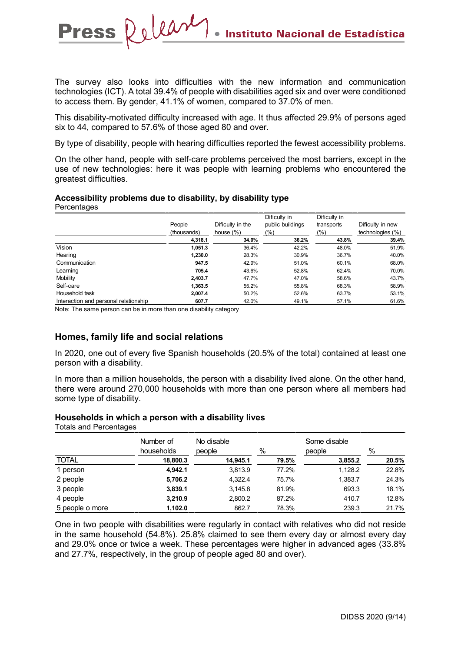The survey also looks into difficulties with the new information and communication technologies (ICT). A total 39.4% of people with disabilities aged six and over were conditioned to access them. By gender, 41.1% of women, compared to 37.0% of men.

This disability-motivated difficulty increased with age. It thus affected 29.9% of persons aged six to 44, compared to 57.6% of those aged 80 and over.

By type of disability, people with hearing difficulties reported the fewest accessibility problems.

On the other hand, people with self-care problems perceived the most barriers, except in the use of new technologies: here it was people with learning problems who encountered the greatest difficulties.

#### **Accessibility problems due to disability, by disability type**

Release

**Percentages** 

**Press** 

|                                       | People<br>(thousands) | Dificulty in the<br>house $(\% )$ | Dificulty in<br>public buildings<br>(%) | Dificulty in<br>transports<br>(%) | Dificulty in new<br>technologies (%) |
|---------------------------------------|-----------------------|-----------------------------------|-----------------------------------------|-----------------------------------|--------------------------------------|
|                                       | 4,318.1               | 34.0%                             | 36.2%                                   | 43.8%                             | 39.4%                                |
| Vision                                | 1,051.3               | 36.4%                             | 42.2%                                   | 48.0%                             | 51.9%                                |
| Hearing                               | 1,230.0               | 28.3%                             | 30.9%                                   | 36.7%                             | 40.0%                                |
| Communication                         | 947.5                 | 42.9%                             | 51.0%                                   | 60.1%                             | 68.0%                                |
| Learning                              | 705.4                 | 43.6%                             | 52.8%                                   | 62.4%                             | 70.0%                                |
| Mobility                              | 2.403.7               | 47.7%                             | 47.0%                                   | 58.6%                             | 43.7%                                |
| Self-care                             | 1,363.5               | 55.2%                             | 55.8%                                   | 68.3%                             | 58.9%                                |
| Household task                        | 2,007.4               | 50.2%                             | 52.6%                                   | 63.7%                             | 53.1%                                |
| Interaction and personal relationship | 607.7                 | 42.0%                             | 49.1%                                   | 57.1%                             | 61.6%                                |

Note: The same person can be in more than one disability category

## **Homes, family life and social relations**

In 2020, one out of every five Spanish households (20.5% of the total) contained at least one person with a disability.

In more than a million households, the person with a disability lived alone. On the other hand, there were around 270,000 households with more than one person where all members had some type of disability.

#### **Households in which a person with a disability lives**

Totals and Percentages Number of households No disable people % Some disable people % TOTAL **18,800.3 14,945.1 79.5% 3,855.2 20.5%** 1 person **4,942.1** 3,813.9 77.2% 1,128.2 22.8% 2 people **5,706.2** 4,322.4 75.7% 1,383.7 24.3% 3 people **3,839.1** 3,145.8 81.9% 693.3 18.1% 4 people **3,210.9** 2,800.2 87.2% 410.7 12.8% 5 people o more **1,102.0** 862.7 78.3% 239.3 21.7%

One in two people with disabilities were regularly in contact with relatives who did not reside in the same household (54.8%). 25.8% claimed to see them every day or almost every day and 29.0% once or twice a week. These percentages were higher in advanced ages (33.8% and 27.7%, respectively, in the group of people aged 80 and over).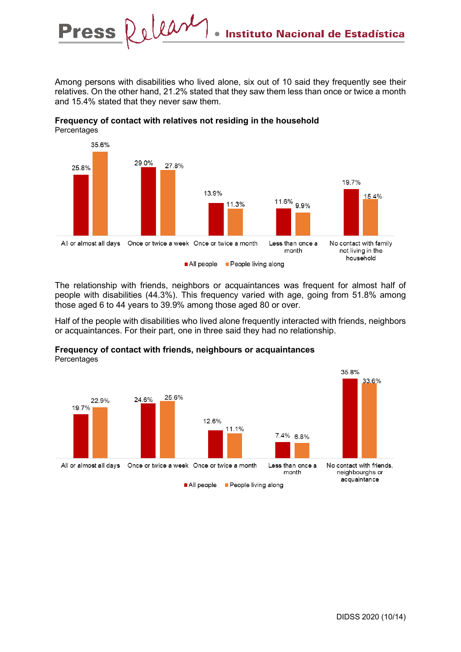Among persons with disabilities who lived alone, six out of 10 said they frequently see their relatives. On the other hand, 21.2% stated that they saw them less than once or twice a month and 15.4% stated that they never saw them.



**Frequency of contact with relatives not residing in the household Percentages** 

Press Relear

The relationship with friends, neighbors or acquaintances was frequent for almost half of people with disabilities (44.3%). This frequency varied with age, going from 51.8% among those aged 6 to 44 years to 39.9% among those aged 80 or over.

Half of the people with disabilities who lived alone frequently interacted with friends, neighbors or acquaintances. For their part, one in three said they had no relationship.



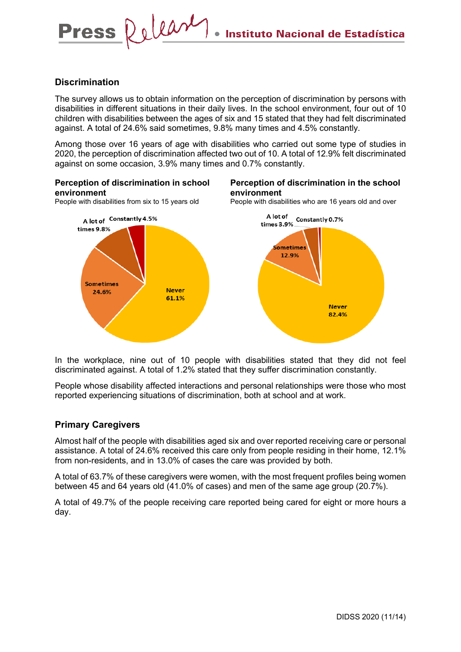## **Discrimination**

Press Relear

The survey allows us to obtain information on the perception of discrimination by persons with disabilities in different situations in their daily lives. In the school environment, four out of 10 children with disabilities between the ages of six and 15 stated that they had felt discriminated against. A total of 24.6% said sometimes, 9.8% many times and 4.5% constantly.

Among those over 16 years of age with disabilities who carried out some type of studies in 2020, the perception of discrimination affected two out of 10. A total of 12.9% felt discriminated against on some occasion, 3.9% many times and 0.7% constantly.

#### **Perception of discrimination in school environment** People with disabilities from six to 15 years old **Perception of discrimination in the school environment** People with disabilities who are 16 years old and over

A lot of Constantly 4.5% times 9.8% Sometimes **Never** 24.6% 61.1%



In the workplace, nine out of 10 people with disabilities stated that they did not feel discriminated against. A total of 1.2% stated that they suffer discrimination constantly.

People whose disability affected interactions and personal relationships were those who most reported experiencing situations of discrimination, both at school and at work.

## **Primary Caregivers**

Almost half of the people with disabilities aged six and over reported receiving care or personal assistance. A total of 24.6% received this care only from people residing in their home, 12.1% from non-residents, and in 13.0% of cases the care was provided by both.

A total of 63.7% of these caregivers were women, with the most frequent profiles being women between 45 and 64 years old (41.0% of cases) and men of the same age group (20.7%).

A total of 49.7% of the people receiving care reported being cared for eight or more hours a day.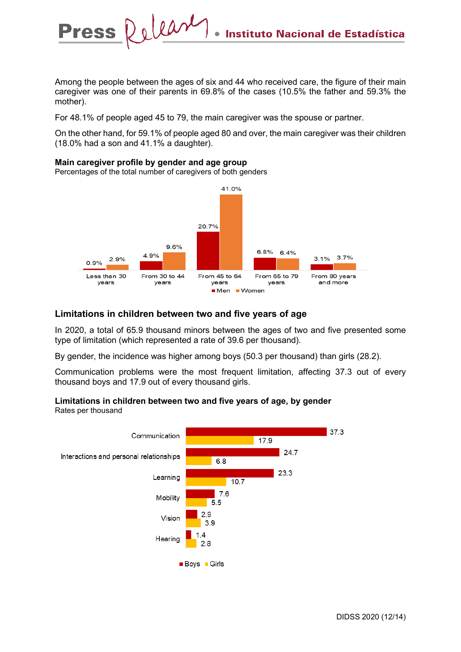Among the people between the ages of six and 44 who received care, the figure of their main caregiver was one of their parents in 69.8% of the cases (10.5% the father and 59.3% the mother).

For 48.1% of people aged 45 to 79, the main caregiver was the spouse or partner.

On the other hand, for 59.1% of people aged 80 and over, the main caregiver was their children (18.0% had a son and 41.1% a daughter).

#### **Main caregiver profile by gender and age group**

Percentages of the total number of caregivers of both genders

Release

**Press** 



## **Limitations in children between two and five years of age**

In 2020, a total of 65.9 thousand minors between the ages of two and five presented some type of limitation (which represented a rate of 39.6 per thousand).

By gender, the incidence was higher among boys (50.3 per thousand) than girls (28.2).

Communication problems were the most frequent limitation, affecting 37.3 out of every thousand boys and 17.9 out of every thousand girls.

#### **Limitations in children between two and five years of age, by gender** Rates per thousand

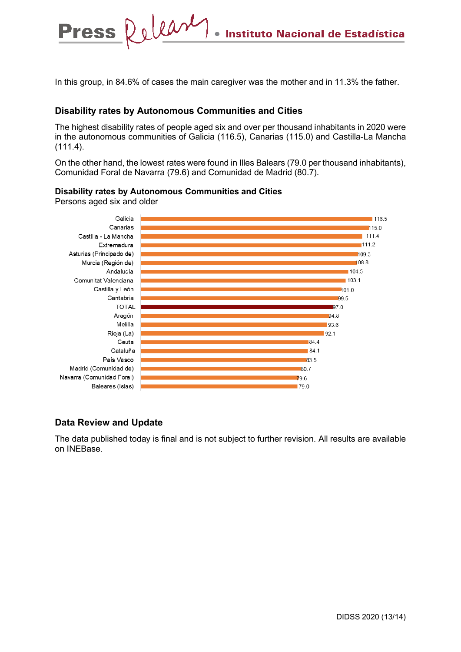In this group, in 84.6% of cases the main caregiver was the mother and in 11.3% the father.

## **Disability rates by Autonomous Communities and Cities**

The highest disability rates of people aged six and over per thousand inhabitants in 2020 were in the autonomous communities of Galicia (116.5), Canarias (115.0) and Castilla-La Mancha (111.4).

On the other hand, the lowest rates were found in Illes Balears (79.0 per thousand inhabitants), Comunidad Foral de Navarra (79.6) and Comunidad de Madrid (80.7).

#### **Disability rates by Autonomous Communities and Cities**

Persons aged six and older

Press Release



## **Data Review and Update**

The data published today is final and is not subject to further revision. All results are available on INEBase.